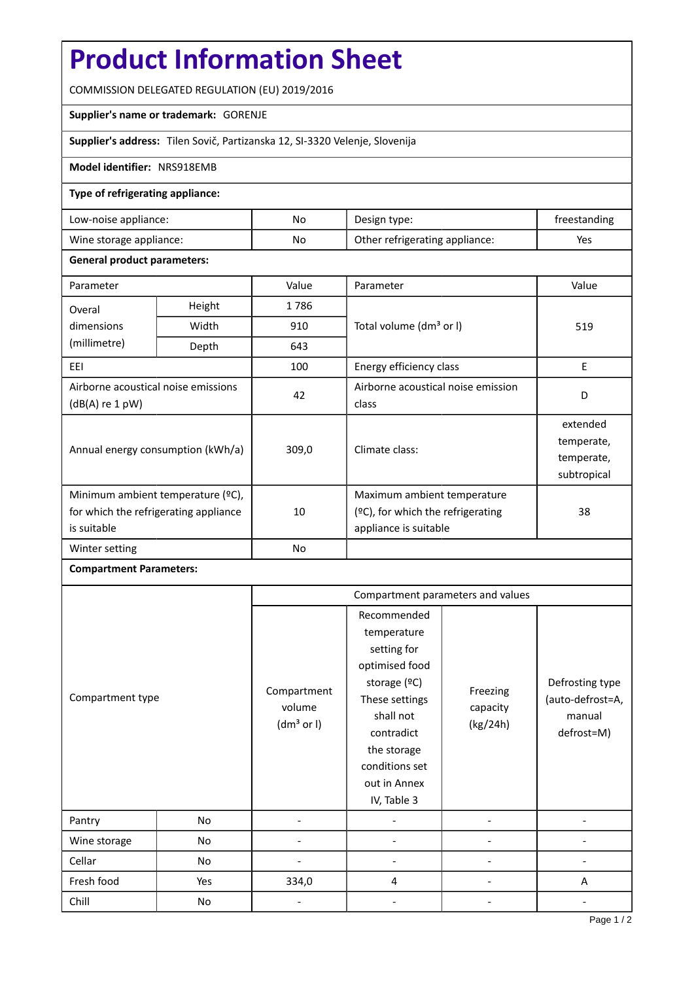# **Product Information Sheet**

COMMISSION DELEGATED REGULATION (EU) 2019/2016

### **Supplier's name or trademark:** GORENJE

**Supplier's address:** Tilen Sovič, Partizanska 12, SI-3320 Velenje, Slovenija

### **Model identifier:** NRS918EMB

### **Type of refrigerating appliance:**

| Low-noise appliance:    | No | Design type:                   | treestanding |
|-------------------------|----|--------------------------------|--------------|
| Wine storage appliance: | No | Other refrigerating appliance: | Yes          |

### **General product parameters:**

| Parameter                                                                                 |        | Value          | Parameter                                                                                    | Value                                               |
|-------------------------------------------------------------------------------------------|--------|----------------|----------------------------------------------------------------------------------------------|-----------------------------------------------------|
| Overal                                                                                    | Height | 1786           |                                                                                              | 519                                                 |
| dimensions<br>(millimetre)                                                                | Width  | 910            | Total volume (dm <sup>3</sup> or I)                                                          |                                                     |
|                                                                                           | Depth  | 643            |                                                                                              |                                                     |
| EEI                                                                                       |        | 100            | Energy efficiency class                                                                      | E                                                   |
| Airborne acoustical noise emissions<br>(dB(A) re 1 pW)                                    |        | 42             | Airborne acoustical noise emission<br>class                                                  | D                                                   |
| Annual energy consumption (kWh/a)                                                         |        | 309,0          | Climate class:                                                                               | extended<br>temperate,<br>temperate,<br>subtropical |
| Minimum ambient temperature (°C),<br>for which the refrigerating appliance<br>is suitable |        | 10             | Maximum ambient temperature<br>$(°C)$ , for which the refrigerating<br>appliance is suitable | 38                                                  |
| Winter setting                                                                            |        | N <sub>o</sub> |                                                                                              |                                                     |

## **Compartment Parameters:**

|                  |     | Compartment parameters and values               |                                                                                                                                                                                          |                                  |                                                             |
|------------------|-----|-------------------------------------------------|------------------------------------------------------------------------------------------------------------------------------------------------------------------------------------------|----------------------------------|-------------------------------------------------------------|
| Compartment type |     | Compartment<br>volume<br>(dm <sup>3</sup> or I) | Recommended<br>temperature<br>setting for<br>optimised food<br>storage (°C)<br>These settings<br>shall not<br>contradict<br>the storage<br>conditions set<br>out in Annex<br>IV, Table 3 | Freezing<br>capacity<br>(kg/24h) | Defrosting type<br>(auto-defrost=A,<br>manual<br>defrost=M) |
| Pantry           | No  |                                                 |                                                                                                                                                                                          |                                  |                                                             |
| Wine storage     | No  |                                                 |                                                                                                                                                                                          |                                  |                                                             |
| Cellar           | No  |                                                 |                                                                                                                                                                                          |                                  |                                                             |
| Fresh food       | Yes | 334,0                                           | $\overline{4}$                                                                                                                                                                           |                                  | A                                                           |
| Chill            | No  |                                                 |                                                                                                                                                                                          |                                  |                                                             |